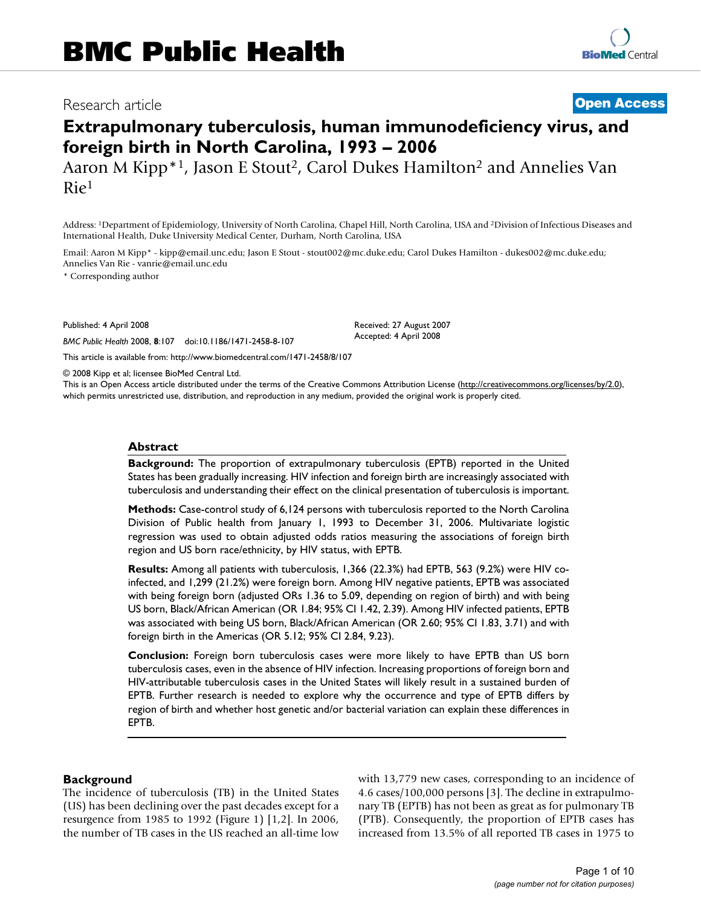## Research article **[Open Access](http://www.biomedcentral.com/info/about/charter/)**

# **Extrapulmonary tuberculosis, human immunodeficiency virus, and foreign birth in North Carolina, 1993 – 2006**

Aaron M Kipp<sup>\*1</sup>, Jason E Stout<sup>2</sup>, Carol Dukes Hamilton<sup>2</sup> and Annelies Van Rie1

Address: 1Department of Epidemiology, University of North Carolina, Chapel Hill, North Carolina, USA and 2Division of Infectious Diseases and International Health, Duke University Medical Center, Durham, North Carolina, USA

Email: Aaron M Kipp\* - kipp@email.unc.edu; Jason E Stout - stout002@mc.duke.edu; Carol Dukes Hamilton - dukes002@mc.duke.edu; Annelies Van Rie - vanrie@email.unc.edu

\* Corresponding author

Published: 4 April 2008

*BMC Public Health* 2008, **8**:107 doi:10.1186/1471-2458-8-107

[This article is available from: http://www.biomedcentral.com/1471-2458/8/107](http://www.biomedcentral.com/1471-2458/8/107)

© 2008 Kipp et al; licensee BioMed Central Ltd.

This is an Open Access article distributed under the terms of the Creative Commons Attribution License [\(http://creativecommons.org/licenses/by/2.0\)](http://creativecommons.org/licenses/by/2.0), which permits unrestricted use, distribution, and reproduction in any medium, provided the original work is properly cited.

Received: 27 August 2007 Accepted: 4 April 2008

#### **Abstract**

**Background:** The proportion of extrapulmonary tuberculosis (EPTB) reported in the United States has been gradually increasing. HIV infection and foreign birth are increasingly associated with tuberculosis and understanding their effect on the clinical presentation of tuberculosis is important.

**Methods:** Case-control study of 6,124 persons with tuberculosis reported to the North Carolina Division of Public health from January 1, 1993 to December 31, 2006. Multivariate logistic regression was used to obtain adjusted odds ratios measuring the associations of foreign birth region and US born race/ethnicity, by HIV status, with EPTB.

**Results:** Among all patients with tuberculosis, 1,366 (22.3%) had EPTB, 563 (9.2%) were HIV coinfected, and 1,299 (21.2%) were foreign born. Among HIV negative patients, EPTB was associated with being foreign born (adjusted ORs 1.36 to 5.09, depending on region of birth) and with being US born, Black/African American (OR 1.84; 95% CI 1.42, 2.39). Among HIV infected patients, EPTB was associated with being US born, Black/African American (OR 2.60; 95% CI 1.83, 3.71) and with foreign birth in the Americas (OR 5.12; 95% CI 2.84, 9.23).

**Conclusion:** Foreign born tuberculosis cases were more likely to have EPTB than US born tuberculosis cases, even in the absence of HIV infection. Increasing proportions of foreign born and HIV-attributable tuberculosis cases in the United States will likely result in a sustained burden of EPTB. Further research is needed to explore why the occurrence and type of EPTB differs by region of birth and whether host genetic and/or bacterial variation can explain these differences in EPTB.

#### **Background**

The incidence of tuberculosis (TB) in the United States (US) has been declining over the past decades except for a resurgence from 1985 to 1992 (Figure 1) [1,2]. In 2006, the number of TB cases in the US reached an all-time low with 13,779 new cases, corresponding to an incidence of 4.6 cases/100,000 persons [3]. The decline in extrapulmonary TB (EPTB) has not been as great as for pulmonary TB (PTB). Consequently, the proportion of EPTB cases has increased from 13.5% of all reported TB cases in 1975 to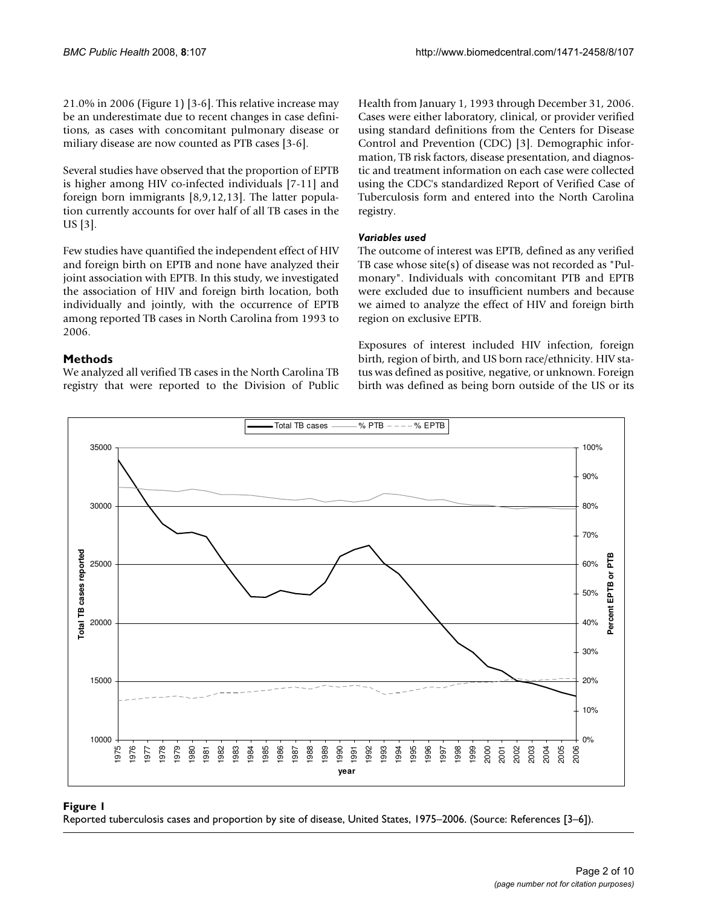21.0% in 2006 (Figure 1) [3-6]. This relative increase may be an underestimate due to recent changes in case definitions, as cases with concomitant pulmonary disease or miliary disease are now counted as PTB cases [3-6].

Several studies have observed that the proportion of EPTB is higher among HIV co-infected individuals [7-11] and foreign born immigrants [8,9,12,13]. The latter population currently accounts for over half of all TB cases in the US [3].

Few studies have quantified the independent effect of HIV and foreign birth on EPTB and none have analyzed their joint association with EPTB. In this study, we investigated the association of HIV and foreign birth location, both individually and jointly, with the occurrence of EPTB among reported TB cases in North Carolina from 1993 to 2006.

#### **Methods**

We analyzed all verified TB cases in the North Carolina TB registry that were reported to the Division of Public Health from January 1, 1993 through December 31, 2006. Cases were either laboratory, clinical, or provider verified using standard definitions from the Centers for Disease Control and Prevention (CDC) [3]. Demographic information, TB risk factors, disease presentation, and diagnostic and treatment information on each case were collected using the CDC's standardized Report of Verified Case of Tuberculosis form and entered into the North Carolina registry.

#### *Variables used*

The outcome of interest was EPTB, defined as any verified TB case whose site(s) of disease was not recorded as "Pulmonary". Individuals with concomitant PTB and EPTB were excluded due to insufficient numbers and because we aimed to analyze the effect of HIV and foreign birth region on exclusive EPTB.

Exposures of interest included HIV infection, foreign birth, region of birth, and US born race/ethnicity. HIV status was defined as positive, negative, or unknown. Foreign birth was defined as being born outside of the US or its



Reported tuberculosis cases and proportion **Figure 1** by site of disease, United States, 1975–2006 Reported tuberculosis cases and proportion by site of disease, United States, 1975–2006. (Source: References [3–6]).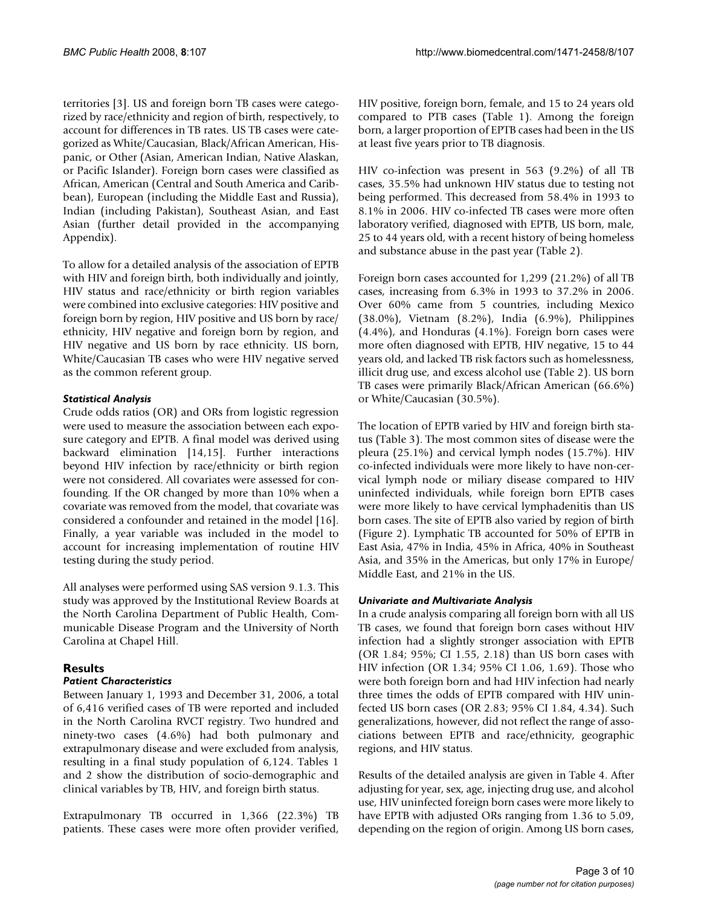territories [3]. US and foreign born TB cases were categorized by race/ethnicity and region of birth, respectively, to account for differences in TB rates. US TB cases were categorized as White/Caucasian, Black/African American, Hispanic, or Other (Asian, American Indian, Native Alaskan, or Pacific Islander). Foreign born cases were classified as African, American (Central and South America and Caribbean), European (including the Middle East and Russia), Indian (including Pakistan), Southeast Asian, and East Asian (further detail provided in the accompanying Appendix).

To allow for a detailed analysis of the association of EPTB with HIV and foreign birth, both individually and jointly, HIV status and race/ethnicity or birth region variables were combined into exclusive categories: HIV positive and foreign born by region, HIV positive and US born by race/ ethnicity, HIV negative and foreign born by region, and HIV negative and US born by race ethnicity. US born, White/Caucasian TB cases who were HIV negative served as the common referent group.

#### *Statistical Analysis*

Crude odds ratios (OR) and ORs from logistic regression were used to measure the association between each exposure category and EPTB. A final model was derived using backward elimination [14,15]. Further interactions beyond HIV infection by race/ethnicity or birth region were not considered. All covariates were assessed for confounding. If the OR changed by more than 10% when a covariate was removed from the model, that covariate was considered a confounder and retained in the model [16]. Finally, a year variable was included in the model to account for increasing implementation of routine HIV testing during the study period.

All analyses were performed using SAS version 9.1.3. This study was approved by the Institutional Review Boards at the North Carolina Department of Public Health, Communicable Disease Program and the University of North Carolina at Chapel Hill.

### **Results**

### *Patient Characteristics*

Between January 1, 1993 and December 31, 2006, a total of 6,416 verified cases of TB were reported and included in the North Carolina RVCT registry. Two hundred and ninety-two cases (4.6%) had both pulmonary and extrapulmonary disease and were excluded from analysis, resulting in a final study population of 6,124. Tables 1 and 2 show the distribution of socio-demographic and clinical variables by TB, HIV, and foreign birth status.

Extrapulmonary TB occurred in 1,366 (22.3%) TB patients. These cases were more often provider verified,

HIV positive, foreign born, female, and 15 to 24 years old compared to PTB cases (Table 1). Among the foreign born, a larger proportion of EPTB cases had been in the US at least five years prior to TB diagnosis.

HIV co-infection was present in 563 (9.2%) of all TB cases, 35.5% had unknown HIV status due to testing not being performed. This decreased from 58.4% in 1993 to 8.1% in 2006. HIV co-infected TB cases were more often laboratory verified, diagnosed with EPTB, US born, male, 25 to 44 years old, with a recent history of being homeless and substance abuse in the past year (Table 2).

Foreign born cases accounted for 1,299 (21.2%) of all TB cases, increasing from 6.3% in 1993 to 37.2% in 2006. Over 60% came from 5 countries, including Mexico (38.0%), Vietnam (8.2%), India (6.9%), Philippines (4.4%), and Honduras (4.1%). Foreign born cases were more often diagnosed with EPTB, HIV negative, 15 to 44 years old, and lacked TB risk factors such as homelessness, illicit drug use, and excess alcohol use (Table 2). US born TB cases were primarily Black/African American (66.6%) or White/Caucasian (30.5%).

The location of EPTB varied by HIV and foreign birth status (Table 3). The most common sites of disease were the pleura (25.1%) and cervical lymph nodes (15.7%). HIV co-infected individuals were more likely to have non-cervical lymph node or miliary disease compared to HIV uninfected individuals, while foreign born EPTB cases were more likely to have cervical lymphadenitis than US born cases. The site of EPTB also varied by region of birth (Figure 2). Lymphatic TB accounted for 50% of EPTB in East Asia, 47% in India, 45% in Africa, 40% in Southeast Asia, and 35% in the Americas, but only 17% in Europe/ Middle East, and 21% in the US.

#### *Univariate and Multivariate Analysis*

In a crude analysis comparing all foreign born with all US TB cases, we found that foreign born cases without HIV infection had a slightly stronger association with EPTB (OR 1.84; 95%; CI 1.55, 2.18) than US born cases with HIV infection (OR 1.34; 95% CI 1.06, 1.69). Those who were both foreign born and had HIV infection had nearly three times the odds of EPTB compared with HIV uninfected US born cases (OR 2.83; 95% CI 1.84, 4.34). Such generalizations, however, did not reflect the range of associations between EPTB and race/ethnicity, geographic regions, and HIV status.

Results of the detailed analysis are given in Table 4. After adjusting for year, sex, age, injecting drug use, and alcohol use, HIV uninfected foreign born cases were more likely to have EPTB with adjusted ORs ranging from 1.36 to 5.09, depending on the region of origin. Among US born cases,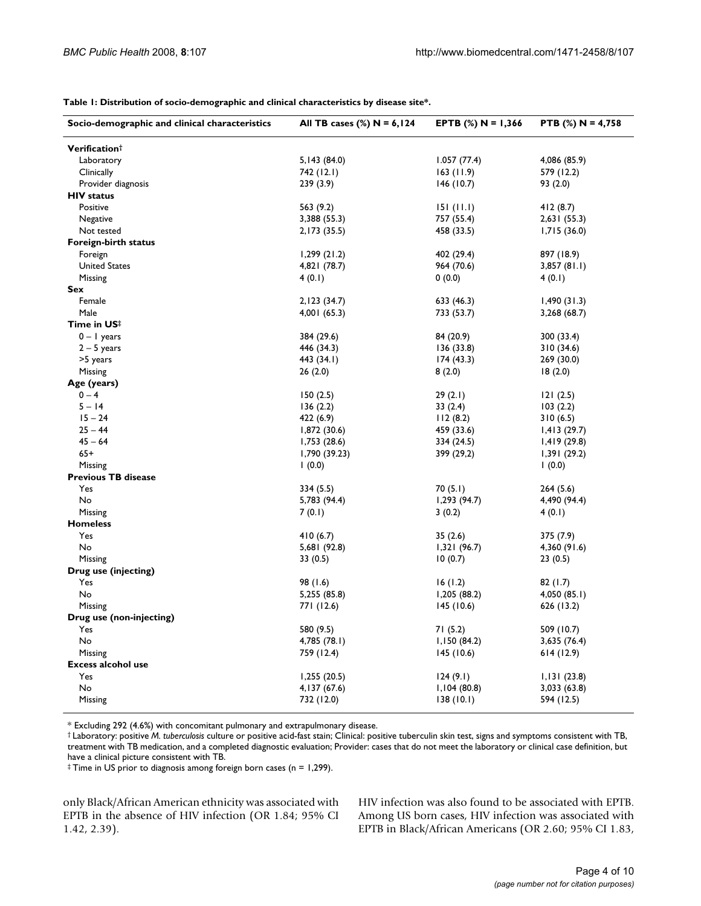| Verification <sup>†</sup><br>Laboratory<br>5, 143 (84.0)<br>1.057(77.4)<br>4,086 (85.9)<br>Clinically<br>742 (12.1)<br>163(11.9)<br>579 (12.2)<br>239(3.9)<br>Provider diagnosis<br>146(10.7)<br>93 (2.0)<br><b>HIV</b> status<br>Positive<br>563 (9.2)<br>151(11.1)<br>412 (8.7)<br>3,388 (55.3)<br>757 (55.4)<br>2,631(55.3)<br>Negative<br>2,173 (35.5)<br>458 (33.5)<br>1,715(36.0)<br>Not tested<br>Foreign-birth status<br>897 (18.9)<br>Foreign<br>1,299(21.2)<br>402 (29.4)<br><b>United States</b><br>4,821 (78.7)<br>964 (70.6)<br>3,857(81.1)<br>Missing<br>4(0.1)<br>0(0.0)<br>4(0.1)<br>Sex<br>Female<br>2, 123 (34.7)<br>633 (46.3)<br>1,490(31.3)<br>Male<br>4,001 (65.3)<br>733 (53.7)<br>3,268 (68.7)<br>Time in US#<br>$0 - 1$ years<br>384 (29.6)<br>84 (20.9)<br>300 (33.4)<br>$2 - 5$ years<br>446 (34.3)<br>136(33.8)<br>310 (34.6)<br>>5 years<br>174(43.3)<br>269 (30.0)<br>443 (34.1)<br>Missing<br>26(2.0)<br>8(2.0)<br>18(2.0)<br>Age (years)<br>$0 - 4$<br>150(2.5)<br>29(2.1)<br>121(2.5)<br>$5 - 14$<br>33(2.4)<br>103(2.2)<br>136(2.2)<br>$15 - 24$<br>422 (6.9)<br>112(8.2)<br>310(6.5)<br>$25 - 44$<br>1,872 (30.6)<br>459 (33.6)<br>1,413(29.7)<br>$45 - 64$<br>1,753(28.6)<br>334 (24.5)<br>1,419(29.8)<br>$65+$<br>1,790 (39.23)<br>399 (29,2)<br>1,391(29.2)<br>Missing<br>(0.0)<br>(0.0)<br><b>Previous TB disease</b><br>Yes<br>70(5.1)<br>334 (5.5)<br>264 (5.6)<br>No<br>5,783 (94.4)<br>1,293(94.7)<br>4,490 (94.4)<br>Missing<br>7(0.1)<br>3(0.2)<br>4(0.1)<br><b>Homeless</b><br>Yes<br>410(6.7)<br>35(2.6)<br>375 (7.9)<br>No<br>5,681 (92.8)<br>1,321(96.7)<br>4,360 (91.6)<br>10(0.7)<br>Missing<br>33(0.5)<br>23(0.5)<br>Drug use (injecting)<br>Yes<br>98 (1.6)<br>16(1.2)<br>82 (1.7) | Socio-demographic and clinical characteristics | All TB cases $(\%)$ N = 6,124 | EPTB $(\%)$ N = 1,366 | PTB $(\%)$ N = 4,758 |
|-----------------------------------------------------------------------------------------------------------------------------------------------------------------------------------------------------------------------------------------------------------------------------------------------------------------------------------------------------------------------------------------------------------------------------------------------------------------------------------------------------------------------------------------------------------------------------------------------------------------------------------------------------------------------------------------------------------------------------------------------------------------------------------------------------------------------------------------------------------------------------------------------------------------------------------------------------------------------------------------------------------------------------------------------------------------------------------------------------------------------------------------------------------------------------------------------------------------------------------------------------------------------------------------------------------------------------------------------------------------------------------------------------------------------------------------------------------------------------------------------------------------------------------------------------------------------------------------------------------------------------------------------------------------------------------------------------------------------------------------|------------------------------------------------|-------------------------------|-----------------------|----------------------|
|                                                                                                                                                                                                                                                                                                                                                                                                                                                                                                                                                                                                                                                                                                                                                                                                                                                                                                                                                                                                                                                                                                                                                                                                                                                                                                                                                                                                                                                                                                                                                                                                                                                                                                                                         |                                                |                               |                       |                      |
|                                                                                                                                                                                                                                                                                                                                                                                                                                                                                                                                                                                                                                                                                                                                                                                                                                                                                                                                                                                                                                                                                                                                                                                                                                                                                                                                                                                                                                                                                                                                                                                                                                                                                                                                         |                                                |                               |                       |                      |
|                                                                                                                                                                                                                                                                                                                                                                                                                                                                                                                                                                                                                                                                                                                                                                                                                                                                                                                                                                                                                                                                                                                                                                                                                                                                                                                                                                                                                                                                                                                                                                                                                                                                                                                                         |                                                |                               |                       |                      |
|                                                                                                                                                                                                                                                                                                                                                                                                                                                                                                                                                                                                                                                                                                                                                                                                                                                                                                                                                                                                                                                                                                                                                                                                                                                                                                                                                                                                                                                                                                                                                                                                                                                                                                                                         |                                                |                               |                       |                      |
|                                                                                                                                                                                                                                                                                                                                                                                                                                                                                                                                                                                                                                                                                                                                                                                                                                                                                                                                                                                                                                                                                                                                                                                                                                                                                                                                                                                                                                                                                                                                                                                                                                                                                                                                         |                                                |                               |                       |                      |
|                                                                                                                                                                                                                                                                                                                                                                                                                                                                                                                                                                                                                                                                                                                                                                                                                                                                                                                                                                                                                                                                                                                                                                                                                                                                                                                                                                                                                                                                                                                                                                                                                                                                                                                                         |                                                |                               |                       |                      |
|                                                                                                                                                                                                                                                                                                                                                                                                                                                                                                                                                                                                                                                                                                                                                                                                                                                                                                                                                                                                                                                                                                                                                                                                                                                                                                                                                                                                                                                                                                                                                                                                                                                                                                                                         |                                                |                               |                       |                      |
|                                                                                                                                                                                                                                                                                                                                                                                                                                                                                                                                                                                                                                                                                                                                                                                                                                                                                                                                                                                                                                                                                                                                                                                                                                                                                                                                                                                                                                                                                                                                                                                                                                                                                                                                         |                                                |                               |                       |                      |
|                                                                                                                                                                                                                                                                                                                                                                                                                                                                                                                                                                                                                                                                                                                                                                                                                                                                                                                                                                                                                                                                                                                                                                                                                                                                                                                                                                                                                                                                                                                                                                                                                                                                                                                                         |                                                |                               |                       |                      |
|                                                                                                                                                                                                                                                                                                                                                                                                                                                                                                                                                                                                                                                                                                                                                                                                                                                                                                                                                                                                                                                                                                                                                                                                                                                                                                                                                                                                                                                                                                                                                                                                                                                                                                                                         |                                                |                               |                       |                      |
|                                                                                                                                                                                                                                                                                                                                                                                                                                                                                                                                                                                                                                                                                                                                                                                                                                                                                                                                                                                                                                                                                                                                                                                                                                                                                                                                                                                                                                                                                                                                                                                                                                                                                                                                         |                                                |                               |                       |                      |
|                                                                                                                                                                                                                                                                                                                                                                                                                                                                                                                                                                                                                                                                                                                                                                                                                                                                                                                                                                                                                                                                                                                                                                                                                                                                                                                                                                                                                                                                                                                                                                                                                                                                                                                                         |                                                |                               |                       |                      |
|                                                                                                                                                                                                                                                                                                                                                                                                                                                                                                                                                                                                                                                                                                                                                                                                                                                                                                                                                                                                                                                                                                                                                                                                                                                                                                                                                                                                                                                                                                                                                                                                                                                                                                                                         |                                                |                               |                       |                      |
|                                                                                                                                                                                                                                                                                                                                                                                                                                                                                                                                                                                                                                                                                                                                                                                                                                                                                                                                                                                                                                                                                                                                                                                                                                                                                                                                                                                                                                                                                                                                                                                                                                                                                                                                         |                                                |                               |                       |                      |
|                                                                                                                                                                                                                                                                                                                                                                                                                                                                                                                                                                                                                                                                                                                                                                                                                                                                                                                                                                                                                                                                                                                                                                                                                                                                                                                                                                                                                                                                                                                                                                                                                                                                                                                                         |                                                |                               |                       |                      |
|                                                                                                                                                                                                                                                                                                                                                                                                                                                                                                                                                                                                                                                                                                                                                                                                                                                                                                                                                                                                                                                                                                                                                                                                                                                                                                                                                                                                                                                                                                                                                                                                                                                                                                                                         |                                                |                               |                       |                      |
|                                                                                                                                                                                                                                                                                                                                                                                                                                                                                                                                                                                                                                                                                                                                                                                                                                                                                                                                                                                                                                                                                                                                                                                                                                                                                                                                                                                                                                                                                                                                                                                                                                                                                                                                         |                                                |                               |                       |                      |
|                                                                                                                                                                                                                                                                                                                                                                                                                                                                                                                                                                                                                                                                                                                                                                                                                                                                                                                                                                                                                                                                                                                                                                                                                                                                                                                                                                                                                                                                                                                                                                                                                                                                                                                                         |                                                |                               |                       |                      |
|                                                                                                                                                                                                                                                                                                                                                                                                                                                                                                                                                                                                                                                                                                                                                                                                                                                                                                                                                                                                                                                                                                                                                                                                                                                                                                                                                                                                                                                                                                                                                                                                                                                                                                                                         |                                                |                               |                       |                      |
|                                                                                                                                                                                                                                                                                                                                                                                                                                                                                                                                                                                                                                                                                                                                                                                                                                                                                                                                                                                                                                                                                                                                                                                                                                                                                                                                                                                                                                                                                                                                                                                                                                                                                                                                         |                                                |                               |                       |                      |
|                                                                                                                                                                                                                                                                                                                                                                                                                                                                                                                                                                                                                                                                                                                                                                                                                                                                                                                                                                                                                                                                                                                                                                                                                                                                                                                                                                                                                                                                                                                                                                                                                                                                                                                                         |                                                |                               |                       |                      |
|                                                                                                                                                                                                                                                                                                                                                                                                                                                                                                                                                                                                                                                                                                                                                                                                                                                                                                                                                                                                                                                                                                                                                                                                                                                                                                                                                                                                                                                                                                                                                                                                                                                                                                                                         |                                                |                               |                       |                      |
|                                                                                                                                                                                                                                                                                                                                                                                                                                                                                                                                                                                                                                                                                                                                                                                                                                                                                                                                                                                                                                                                                                                                                                                                                                                                                                                                                                                                                                                                                                                                                                                                                                                                                                                                         |                                                |                               |                       |                      |
|                                                                                                                                                                                                                                                                                                                                                                                                                                                                                                                                                                                                                                                                                                                                                                                                                                                                                                                                                                                                                                                                                                                                                                                                                                                                                                                                                                                                                                                                                                                                                                                                                                                                                                                                         |                                                |                               |                       |                      |
|                                                                                                                                                                                                                                                                                                                                                                                                                                                                                                                                                                                                                                                                                                                                                                                                                                                                                                                                                                                                                                                                                                                                                                                                                                                                                                                                                                                                                                                                                                                                                                                                                                                                                                                                         |                                                |                               |                       |                      |
|                                                                                                                                                                                                                                                                                                                                                                                                                                                                                                                                                                                                                                                                                                                                                                                                                                                                                                                                                                                                                                                                                                                                                                                                                                                                                                                                                                                                                                                                                                                                                                                                                                                                                                                                         |                                                |                               |                       |                      |
|                                                                                                                                                                                                                                                                                                                                                                                                                                                                                                                                                                                                                                                                                                                                                                                                                                                                                                                                                                                                                                                                                                                                                                                                                                                                                                                                                                                                                                                                                                                                                                                                                                                                                                                                         |                                                |                               |                       |                      |
|                                                                                                                                                                                                                                                                                                                                                                                                                                                                                                                                                                                                                                                                                                                                                                                                                                                                                                                                                                                                                                                                                                                                                                                                                                                                                                                                                                                                                                                                                                                                                                                                                                                                                                                                         |                                                |                               |                       |                      |
|                                                                                                                                                                                                                                                                                                                                                                                                                                                                                                                                                                                                                                                                                                                                                                                                                                                                                                                                                                                                                                                                                                                                                                                                                                                                                                                                                                                                                                                                                                                                                                                                                                                                                                                                         |                                                |                               |                       |                      |
|                                                                                                                                                                                                                                                                                                                                                                                                                                                                                                                                                                                                                                                                                                                                                                                                                                                                                                                                                                                                                                                                                                                                                                                                                                                                                                                                                                                                                                                                                                                                                                                                                                                                                                                                         |                                                |                               |                       |                      |
|                                                                                                                                                                                                                                                                                                                                                                                                                                                                                                                                                                                                                                                                                                                                                                                                                                                                                                                                                                                                                                                                                                                                                                                                                                                                                                                                                                                                                                                                                                                                                                                                                                                                                                                                         |                                                |                               |                       |                      |
|                                                                                                                                                                                                                                                                                                                                                                                                                                                                                                                                                                                                                                                                                                                                                                                                                                                                                                                                                                                                                                                                                                                                                                                                                                                                                                                                                                                                                                                                                                                                                                                                                                                                                                                                         |                                                |                               |                       |                      |
|                                                                                                                                                                                                                                                                                                                                                                                                                                                                                                                                                                                                                                                                                                                                                                                                                                                                                                                                                                                                                                                                                                                                                                                                                                                                                                                                                                                                                                                                                                                                                                                                                                                                                                                                         |                                                |                               |                       |                      |
|                                                                                                                                                                                                                                                                                                                                                                                                                                                                                                                                                                                                                                                                                                                                                                                                                                                                                                                                                                                                                                                                                                                                                                                                                                                                                                                                                                                                                                                                                                                                                                                                                                                                                                                                         |                                                |                               |                       |                      |
|                                                                                                                                                                                                                                                                                                                                                                                                                                                                                                                                                                                                                                                                                                                                                                                                                                                                                                                                                                                                                                                                                                                                                                                                                                                                                                                                                                                                                                                                                                                                                                                                                                                                                                                                         |                                                |                               |                       |                      |
|                                                                                                                                                                                                                                                                                                                                                                                                                                                                                                                                                                                                                                                                                                                                                                                                                                                                                                                                                                                                                                                                                                                                                                                                                                                                                                                                                                                                                                                                                                                                                                                                                                                                                                                                         |                                                |                               |                       |                      |
|                                                                                                                                                                                                                                                                                                                                                                                                                                                                                                                                                                                                                                                                                                                                                                                                                                                                                                                                                                                                                                                                                                                                                                                                                                                                                                                                                                                                                                                                                                                                                                                                                                                                                                                                         |                                                |                               |                       |                      |
|                                                                                                                                                                                                                                                                                                                                                                                                                                                                                                                                                                                                                                                                                                                                                                                                                                                                                                                                                                                                                                                                                                                                                                                                                                                                                                                                                                                                                                                                                                                                                                                                                                                                                                                                         |                                                |                               |                       |                      |
|                                                                                                                                                                                                                                                                                                                                                                                                                                                                                                                                                                                                                                                                                                                                                                                                                                                                                                                                                                                                                                                                                                                                                                                                                                                                                                                                                                                                                                                                                                                                                                                                                                                                                                                                         | No                                             | 5,255 (85.8)                  | 1,205(88.2)           | 4,050 (85.1)         |
| Missing<br>771 (12.6)<br>145 (10.6)<br>626 (13.2)                                                                                                                                                                                                                                                                                                                                                                                                                                                                                                                                                                                                                                                                                                                                                                                                                                                                                                                                                                                                                                                                                                                                                                                                                                                                                                                                                                                                                                                                                                                                                                                                                                                                                       |                                                |                               |                       |                      |
| Drug use (non-injecting)                                                                                                                                                                                                                                                                                                                                                                                                                                                                                                                                                                                                                                                                                                                                                                                                                                                                                                                                                                                                                                                                                                                                                                                                                                                                                                                                                                                                                                                                                                                                                                                                                                                                                                                |                                                |                               |                       |                      |
| Yes<br>580 (9.5)<br>71(5.2)<br>509 (10.7)                                                                                                                                                                                                                                                                                                                                                                                                                                                                                                                                                                                                                                                                                                                                                                                                                                                                                                                                                                                                                                                                                                                                                                                                                                                                                                                                                                                                                                                                                                                                                                                                                                                                                               |                                                |                               |                       |                      |
| No<br>4,785 (78.1)<br>1,150(84.2)<br>3,635 (76.4)                                                                                                                                                                                                                                                                                                                                                                                                                                                                                                                                                                                                                                                                                                                                                                                                                                                                                                                                                                                                                                                                                                                                                                                                                                                                                                                                                                                                                                                                                                                                                                                                                                                                                       |                                                |                               |                       |                      |
| Missing<br>759 (12.4)<br>145 (10.6)<br>614 (12.9)                                                                                                                                                                                                                                                                                                                                                                                                                                                                                                                                                                                                                                                                                                                                                                                                                                                                                                                                                                                                                                                                                                                                                                                                                                                                                                                                                                                                                                                                                                                                                                                                                                                                                       |                                                |                               |                       |                      |
| <b>Excess alcohol use</b>                                                                                                                                                                                                                                                                                                                                                                                                                                                                                                                                                                                                                                                                                                                                                                                                                                                                                                                                                                                                                                                                                                                                                                                                                                                                                                                                                                                                                                                                                                                                                                                                                                                                                                               |                                                |                               |                       |                      |
| Yes<br>1,255(20.5)<br>124(9.1)<br>1,131(23.8)                                                                                                                                                                                                                                                                                                                                                                                                                                                                                                                                                                                                                                                                                                                                                                                                                                                                                                                                                                                                                                                                                                                                                                                                                                                                                                                                                                                                                                                                                                                                                                                                                                                                                           |                                                |                               |                       |                      |
| No<br>4, 137 (67.6)<br>1,104(80.8)<br>3,033 (63.8)                                                                                                                                                                                                                                                                                                                                                                                                                                                                                                                                                                                                                                                                                                                                                                                                                                                                                                                                                                                                                                                                                                                                                                                                                                                                                                                                                                                                                                                                                                                                                                                                                                                                                      |                                                |                               |                       |                      |
| 732 (12.0)<br>138(10.1)<br>594 (12.5)<br>Missing                                                                                                                                                                                                                                                                                                                                                                                                                                                                                                                                                                                                                                                                                                                                                                                                                                                                                                                                                                                                                                                                                                                                                                                                                                                                                                                                                                                                                                                                                                                                                                                                                                                                                        |                                                |                               |                       |                      |

\* Excluding 292 (4.6%) with concomitant pulmonary and extrapulmonary disease.

† Laboratory: positive *M. tuberculosis* culture or positive acid-fast stain; Clinical: positive tuberculin skin test, signs and symptoms consistent with TB, treatment with TB medication, and a completed diagnostic evaluation; Provider: cases that do not meet the laboratory or clinical case definition, but have a clinical picture consistent with TB.

‡ Time in US prior to diagnosis among foreign born cases (n = 1,299).

only Black/African American ethnicity was associated with EPTB in the absence of HIV infection (OR 1.84; 95% CI 1.42, 2.39).

HIV infection was also found to be associated with EPTB. Among US born cases, HIV infection was associated with EPTB in Black/African Americans (OR 2.60; 95% CI 1.83,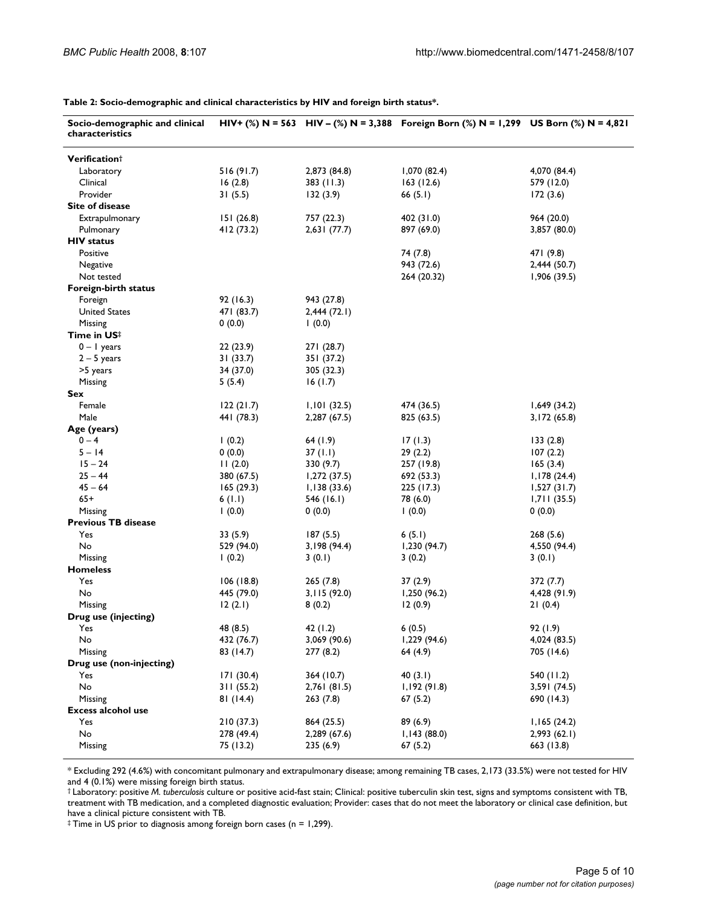**Table 2: Socio-demographic and clinical characteristics by HIV and foreign birth status\*.**

| Verification <sup>†</sup><br>516 (91.7)<br>2,873 (84.8)<br>1,070 (82.4)<br>4,070 (84.4)<br>Laboratory<br>Clinical<br>16(2.8)<br>383(11.3)<br>163(12.6)<br>579 (12.0)<br>Provider<br>31(5.5)<br>132(3.9)<br>66 $(5.1)$<br>172(3.6)<br><b>Site of disease</b><br>Extrapulmonary<br>151(26.8)<br>757 (22.3)<br>402 (31.0)<br>964 (20.0)<br>Pulmonary<br>412 (73.2)<br>2,631(77.7)<br>897 (69.0)<br>3,857 (80.0)<br><b>HIV status</b><br>Positive<br>74 (7.8)<br>471 (9.8)<br>943 (72.6)<br>Negative<br>2,444 (50.7)<br>Not tested<br>264 (20.32)<br>1,906(39.5)<br>Foreign-birth status<br>92 (16.3)<br>Foreign<br>943 (27.8)<br><b>United States</b><br>471 (83.7)<br>2,444(72.1)<br>Missing<br>0(0.0)<br>(0.0)<br>Time in US <sup>‡</sup><br>$0 - 1$ years<br>22 (23.9)<br>271(28.7)<br>$2 - 5$ years<br>31(33.7)<br>351(37.2)<br>>5 years<br>34 (37.0)<br>305 (32.3)<br>Missing<br>5(5.4)<br>16(1.7)<br>Sex<br>474 (36.5)<br>1,649(34.2)<br>Female<br>122(21.7)<br>1,101(32.5)<br>Male<br>441 (78.3)<br>2,287 (67.5)<br>825 (63.5)<br>3,172 (65.8)<br>Age (years)<br>$0 - 4$<br>17(1.3)<br>(0.2)<br>64(1.9)<br>133(2.8)<br>$5 - 14$<br>0(0.0)<br>29(2.2)<br>37 $(1.1)$<br>107(2.2)<br>$15 - 24$<br>11(2.0)<br>330 (9.7)<br>257 (19.8)<br>165(3.4)<br>$25 - 44$<br>380 (67.5)<br>1,272(37.5)<br>692 (53.3)<br>1,178(24.4)<br>$45 - 64$<br>165(29.3)<br>1,138(33.6)<br>225 (17.3)<br>1,527(31.7)<br>$65+$<br>6(1.1)<br>546 (16.1)<br>78 (6.0)<br>1,711(35.5)<br>(0.0)<br>0(0.0)<br>(0.0)<br>0(0.0)<br>Missing<br><b>Previous TB disease</b><br>Yes<br>33 (5.9)<br>187(5.5)<br>6(5.1)<br>268(5.6)<br>No<br>1,230(94.7)<br>529 (94.0)<br>3,198 (94.4)<br>4,550 (94.4)<br>Missing<br>1(0.2)<br>3(0.2)<br>3(0.1)<br>3(0.1)<br><b>Homeless</b><br>Yes<br>106(18.8)<br>265(7.8)<br>37 (2.9)<br>372 (7.7)<br>No<br>445 (79.0)<br>1,250 (96.2)<br>4,428 (91.9)<br>3,115(92.0)<br>Missing<br>12(2.1)<br>8(0.2)<br>12(0.9)<br>21(0.4)<br>Drug use (injecting)<br>Yes<br>48 (8.5)<br>42 (1.2)<br>6(0.5)<br>92 (1.9)<br>No<br>432 (76.7)<br>3,069 (90.6)<br>1,229 (94.6)<br>4,024 (83.5)<br>Missing<br>83 (14.7)<br>277(8.2)<br>64 (4.9)<br>705 (14.6)<br>Drug use (non-injecting)<br>171(30.4)<br>Yes<br>364 (10.7)<br>40(3.1)<br>540 (11.2)<br>No<br>311(55.2)<br>1,192(91.8)<br>2,761(81.5)<br>3,591 (74.5)<br>Missing<br>81(14.4)<br>263(7.8)<br>67(5.2)<br>690 (14.3)<br><b>Excess alcohol use</b><br>Yes<br>210(37.3)<br>864 (25.5)<br>89 (6.9)<br>1,165(24.2)<br>No<br>278 (49.4)<br>2,289 (67.6)<br>1,143(88.0)<br>2,993(62.1)<br>Missing<br>75 (13.2)<br>235 (6.9)<br>67(5.2)<br>663 (13.8) | Socio-demographic and clinical<br>characteristics |  | HIV+ (%) N = 563 HIV - (%) N = 3,388 Foreign Born (%) N = 1,299 US Born (%) N = 4,821 |  |
|----------------------------------------------------------------------------------------------------------------------------------------------------------------------------------------------------------------------------------------------------------------------------------------------------------------------------------------------------------------------------------------------------------------------------------------------------------------------------------------------------------------------------------------------------------------------------------------------------------------------------------------------------------------------------------------------------------------------------------------------------------------------------------------------------------------------------------------------------------------------------------------------------------------------------------------------------------------------------------------------------------------------------------------------------------------------------------------------------------------------------------------------------------------------------------------------------------------------------------------------------------------------------------------------------------------------------------------------------------------------------------------------------------------------------------------------------------------------------------------------------------------------------------------------------------------------------------------------------------------------------------------------------------------------------------------------------------------------------------------------------------------------------------------------------------------------------------------------------------------------------------------------------------------------------------------------------------------------------------------------------------------------------------------------------------------------------------------------------------------------------------------------------------------------------------------------------------------------------------------------------------------------------------------------------------------------------------------------------------------------------------------------------------------------------------------------------------------------------------------------------------------------------------------------------------------------------------------|---------------------------------------------------|--|---------------------------------------------------------------------------------------|--|
|                                                                                                                                                                                                                                                                                                                                                                                                                                                                                                                                                                                                                                                                                                                                                                                                                                                                                                                                                                                                                                                                                                                                                                                                                                                                                                                                                                                                                                                                                                                                                                                                                                                                                                                                                                                                                                                                                                                                                                                                                                                                                                                                                                                                                                                                                                                                                                                                                                                                                                                                                                                        |                                                   |  |                                                                                       |  |
|                                                                                                                                                                                                                                                                                                                                                                                                                                                                                                                                                                                                                                                                                                                                                                                                                                                                                                                                                                                                                                                                                                                                                                                                                                                                                                                                                                                                                                                                                                                                                                                                                                                                                                                                                                                                                                                                                                                                                                                                                                                                                                                                                                                                                                                                                                                                                                                                                                                                                                                                                                                        |                                                   |  |                                                                                       |  |
|                                                                                                                                                                                                                                                                                                                                                                                                                                                                                                                                                                                                                                                                                                                                                                                                                                                                                                                                                                                                                                                                                                                                                                                                                                                                                                                                                                                                                                                                                                                                                                                                                                                                                                                                                                                                                                                                                                                                                                                                                                                                                                                                                                                                                                                                                                                                                                                                                                                                                                                                                                                        |                                                   |  |                                                                                       |  |
|                                                                                                                                                                                                                                                                                                                                                                                                                                                                                                                                                                                                                                                                                                                                                                                                                                                                                                                                                                                                                                                                                                                                                                                                                                                                                                                                                                                                                                                                                                                                                                                                                                                                                                                                                                                                                                                                                                                                                                                                                                                                                                                                                                                                                                                                                                                                                                                                                                                                                                                                                                                        |                                                   |  |                                                                                       |  |
|                                                                                                                                                                                                                                                                                                                                                                                                                                                                                                                                                                                                                                                                                                                                                                                                                                                                                                                                                                                                                                                                                                                                                                                                                                                                                                                                                                                                                                                                                                                                                                                                                                                                                                                                                                                                                                                                                                                                                                                                                                                                                                                                                                                                                                                                                                                                                                                                                                                                                                                                                                                        |                                                   |  |                                                                                       |  |
|                                                                                                                                                                                                                                                                                                                                                                                                                                                                                                                                                                                                                                                                                                                                                                                                                                                                                                                                                                                                                                                                                                                                                                                                                                                                                                                                                                                                                                                                                                                                                                                                                                                                                                                                                                                                                                                                                                                                                                                                                                                                                                                                                                                                                                                                                                                                                                                                                                                                                                                                                                                        |                                                   |  |                                                                                       |  |
|                                                                                                                                                                                                                                                                                                                                                                                                                                                                                                                                                                                                                                                                                                                                                                                                                                                                                                                                                                                                                                                                                                                                                                                                                                                                                                                                                                                                                                                                                                                                                                                                                                                                                                                                                                                                                                                                                                                                                                                                                                                                                                                                                                                                                                                                                                                                                                                                                                                                                                                                                                                        |                                                   |  |                                                                                       |  |
|                                                                                                                                                                                                                                                                                                                                                                                                                                                                                                                                                                                                                                                                                                                                                                                                                                                                                                                                                                                                                                                                                                                                                                                                                                                                                                                                                                                                                                                                                                                                                                                                                                                                                                                                                                                                                                                                                                                                                                                                                                                                                                                                                                                                                                                                                                                                                                                                                                                                                                                                                                                        |                                                   |  |                                                                                       |  |
|                                                                                                                                                                                                                                                                                                                                                                                                                                                                                                                                                                                                                                                                                                                                                                                                                                                                                                                                                                                                                                                                                                                                                                                                                                                                                                                                                                                                                                                                                                                                                                                                                                                                                                                                                                                                                                                                                                                                                                                                                                                                                                                                                                                                                                                                                                                                                                                                                                                                                                                                                                                        |                                                   |  |                                                                                       |  |
|                                                                                                                                                                                                                                                                                                                                                                                                                                                                                                                                                                                                                                                                                                                                                                                                                                                                                                                                                                                                                                                                                                                                                                                                                                                                                                                                                                                                                                                                                                                                                                                                                                                                                                                                                                                                                                                                                                                                                                                                                                                                                                                                                                                                                                                                                                                                                                                                                                                                                                                                                                                        |                                                   |  |                                                                                       |  |
|                                                                                                                                                                                                                                                                                                                                                                                                                                                                                                                                                                                                                                                                                                                                                                                                                                                                                                                                                                                                                                                                                                                                                                                                                                                                                                                                                                                                                                                                                                                                                                                                                                                                                                                                                                                                                                                                                                                                                                                                                                                                                                                                                                                                                                                                                                                                                                                                                                                                                                                                                                                        |                                                   |  |                                                                                       |  |
|                                                                                                                                                                                                                                                                                                                                                                                                                                                                                                                                                                                                                                                                                                                                                                                                                                                                                                                                                                                                                                                                                                                                                                                                                                                                                                                                                                                                                                                                                                                                                                                                                                                                                                                                                                                                                                                                                                                                                                                                                                                                                                                                                                                                                                                                                                                                                                                                                                                                                                                                                                                        |                                                   |  |                                                                                       |  |
|                                                                                                                                                                                                                                                                                                                                                                                                                                                                                                                                                                                                                                                                                                                                                                                                                                                                                                                                                                                                                                                                                                                                                                                                                                                                                                                                                                                                                                                                                                                                                                                                                                                                                                                                                                                                                                                                                                                                                                                                                                                                                                                                                                                                                                                                                                                                                                                                                                                                                                                                                                                        |                                                   |  |                                                                                       |  |
|                                                                                                                                                                                                                                                                                                                                                                                                                                                                                                                                                                                                                                                                                                                                                                                                                                                                                                                                                                                                                                                                                                                                                                                                                                                                                                                                                                                                                                                                                                                                                                                                                                                                                                                                                                                                                                                                                                                                                                                                                                                                                                                                                                                                                                                                                                                                                                                                                                                                                                                                                                                        |                                                   |  |                                                                                       |  |
|                                                                                                                                                                                                                                                                                                                                                                                                                                                                                                                                                                                                                                                                                                                                                                                                                                                                                                                                                                                                                                                                                                                                                                                                                                                                                                                                                                                                                                                                                                                                                                                                                                                                                                                                                                                                                                                                                                                                                                                                                                                                                                                                                                                                                                                                                                                                                                                                                                                                                                                                                                                        |                                                   |  |                                                                                       |  |
|                                                                                                                                                                                                                                                                                                                                                                                                                                                                                                                                                                                                                                                                                                                                                                                                                                                                                                                                                                                                                                                                                                                                                                                                                                                                                                                                                                                                                                                                                                                                                                                                                                                                                                                                                                                                                                                                                                                                                                                                                                                                                                                                                                                                                                                                                                                                                                                                                                                                                                                                                                                        |                                                   |  |                                                                                       |  |
|                                                                                                                                                                                                                                                                                                                                                                                                                                                                                                                                                                                                                                                                                                                                                                                                                                                                                                                                                                                                                                                                                                                                                                                                                                                                                                                                                                                                                                                                                                                                                                                                                                                                                                                                                                                                                                                                                                                                                                                                                                                                                                                                                                                                                                                                                                                                                                                                                                                                                                                                                                                        |                                                   |  |                                                                                       |  |
|                                                                                                                                                                                                                                                                                                                                                                                                                                                                                                                                                                                                                                                                                                                                                                                                                                                                                                                                                                                                                                                                                                                                                                                                                                                                                                                                                                                                                                                                                                                                                                                                                                                                                                                                                                                                                                                                                                                                                                                                                                                                                                                                                                                                                                                                                                                                                                                                                                                                                                                                                                                        |                                                   |  |                                                                                       |  |
|                                                                                                                                                                                                                                                                                                                                                                                                                                                                                                                                                                                                                                                                                                                                                                                                                                                                                                                                                                                                                                                                                                                                                                                                                                                                                                                                                                                                                                                                                                                                                                                                                                                                                                                                                                                                                                                                                                                                                                                                                                                                                                                                                                                                                                                                                                                                                                                                                                                                                                                                                                                        |                                                   |  |                                                                                       |  |
|                                                                                                                                                                                                                                                                                                                                                                                                                                                                                                                                                                                                                                                                                                                                                                                                                                                                                                                                                                                                                                                                                                                                                                                                                                                                                                                                                                                                                                                                                                                                                                                                                                                                                                                                                                                                                                                                                                                                                                                                                                                                                                                                                                                                                                                                                                                                                                                                                                                                                                                                                                                        |                                                   |  |                                                                                       |  |
|                                                                                                                                                                                                                                                                                                                                                                                                                                                                                                                                                                                                                                                                                                                                                                                                                                                                                                                                                                                                                                                                                                                                                                                                                                                                                                                                                                                                                                                                                                                                                                                                                                                                                                                                                                                                                                                                                                                                                                                                                                                                                                                                                                                                                                                                                                                                                                                                                                                                                                                                                                                        |                                                   |  |                                                                                       |  |
|                                                                                                                                                                                                                                                                                                                                                                                                                                                                                                                                                                                                                                                                                                                                                                                                                                                                                                                                                                                                                                                                                                                                                                                                                                                                                                                                                                                                                                                                                                                                                                                                                                                                                                                                                                                                                                                                                                                                                                                                                                                                                                                                                                                                                                                                                                                                                                                                                                                                                                                                                                                        |                                                   |  |                                                                                       |  |
|                                                                                                                                                                                                                                                                                                                                                                                                                                                                                                                                                                                                                                                                                                                                                                                                                                                                                                                                                                                                                                                                                                                                                                                                                                                                                                                                                                                                                                                                                                                                                                                                                                                                                                                                                                                                                                                                                                                                                                                                                                                                                                                                                                                                                                                                                                                                                                                                                                                                                                                                                                                        |                                                   |  |                                                                                       |  |
|                                                                                                                                                                                                                                                                                                                                                                                                                                                                                                                                                                                                                                                                                                                                                                                                                                                                                                                                                                                                                                                                                                                                                                                                                                                                                                                                                                                                                                                                                                                                                                                                                                                                                                                                                                                                                                                                                                                                                                                                                                                                                                                                                                                                                                                                                                                                                                                                                                                                                                                                                                                        |                                                   |  |                                                                                       |  |
|                                                                                                                                                                                                                                                                                                                                                                                                                                                                                                                                                                                                                                                                                                                                                                                                                                                                                                                                                                                                                                                                                                                                                                                                                                                                                                                                                                                                                                                                                                                                                                                                                                                                                                                                                                                                                                                                                                                                                                                                                                                                                                                                                                                                                                                                                                                                                                                                                                                                                                                                                                                        |                                                   |  |                                                                                       |  |
|                                                                                                                                                                                                                                                                                                                                                                                                                                                                                                                                                                                                                                                                                                                                                                                                                                                                                                                                                                                                                                                                                                                                                                                                                                                                                                                                                                                                                                                                                                                                                                                                                                                                                                                                                                                                                                                                                                                                                                                                                                                                                                                                                                                                                                                                                                                                                                                                                                                                                                                                                                                        |                                                   |  |                                                                                       |  |
|                                                                                                                                                                                                                                                                                                                                                                                                                                                                                                                                                                                                                                                                                                                                                                                                                                                                                                                                                                                                                                                                                                                                                                                                                                                                                                                                                                                                                                                                                                                                                                                                                                                                                                                                                                                                                                                                                                                                                                                                                                                                                                                                                                                                                                                                                                                                                                                                                                                                                                                                                                                        |                                                   |  |                                                                                       |  |
|                                                                                                                                                                                                                                                                                                                                                                                                                                                                                                                                                                                                                                                                                                                                                                                                                                                                                                                                                                                                                                                                                                                                                                                                                                                                                                                                                                                                                                                                                                                                                                                                                                                                                                                                                                                                                                                                                                                                                                                                                                                                                                                                                                                                                                                                                                                                                                                                                                                                                                                                                                                        |                                                   |  |                                                                                       |  |
|                                                                                                                                                                                                                                                                                                                                                                                                                                                                                                                                                                                                                                                                                                                                                                                                                                                                                                                                                                                                                                                                                                                                                                                                                                                                                                                                                                                                                                                                                                                                                                                                                                                                                                                                                                                                                                                                                                                                                                                                                                                                                                                                                                                                                                                                                                                                                                                                                                                                                                                                                                                        |                                                   |  |                                                                                       |  |
|                                                                                                                                                                                                                                                                                                                                                                                                                                                                                                                                                                                                                                                                                                                                                                                                                                                                                                                                                                                                                                                                                                                                                                                                                                                                                                                                                                                                                                                                                                                                                                                                                                                                                                                                                                                                                                                                                                                                                                                                                                                                                                                                                                                                                                                                                                                                                                                                                                                                                                                                                                                        |                                                   |  |                                                                                       |  |
|                                                                                                                                                                                                                                                                                                                                                                                                                                                                                                                                                                                                                                                                                                                                                                                                                                                                                                                                                                                                                                                                                                                                                                                                                                                                                                                                                                                                                                                                                                                                                                                                                                                                                                                                                                                                                                                                                                                                                                                                                                                                                                                                                                                                                                                                                                                                                                                                                                                                                                                                                                                        |                                                   |  |                                                                                       |  |
|                                                                                                                                                                                                                                                                                                                                                                                                                                                                                                                                                                                                                                                                                                                                                                                                                                                                                                                                                                                                                                                                                                                                                                                                                                                                                                                                                                                                                                                                                                                                                                                                                                                                                                                                                                                                                                                                                                                                                                                                                                                                                                                                                                                                                                                                                                                                                                                                                                                                                                                                                                                        |                                                   |  |                                                                                       |  |
|                                                                                                                                                                                                                                                                                                                                                                                                                                                                                                                                                                                                                                                                                                                                                                                                                                                                                                                                                                                                                                                                                                                                                                                                                                                                                                                                                                                                                                                                                                                                                                                                                                                                                                                                                                                                                                                                                                                                                                                                                                                                                                                                                                                                                                                                                                                                                                                                                                                                                                                                                                                        |                                                   |  |                                                                                       |  |
|                                                                                                                                                                                                                                                                                                                                                                                                                                                                                                                                                                                                                                                                                                                                                                                                                                                                                                                                                                                                                                                                                                                                                                                                                                                                                                                                                                                                                                                                                                                                                                                                                                                                                                                                                                                                                                                                                                                                                                                                                                                                                                                                                                                                                                                                                                                                                                                                                                                                                                                                                                                        |                                                   |  |                                                                                       |  |
|                                                                                                                                                                                                                                                                                                                                                                                                                                                                                                                                                                                                                                                                                                                                                                                                                                                                                                                                                                                                                                                                                                                                                                                                                                                                                                                                                                                                                                                                                                                                                                                                                                                                                                                                                                                                                                                                                                                                                                                                                                                                                                                                                                                                                                                                                                                                                                                                                                                                                                                                                                                        |                                                   |  |                                                                                       |  |
|                                                                                                                                                                                                                                                                                                                                                                                                                                                                                                                                                                                                                                                                                                                                                                                                                                                                                                                                                                                                                                                                                                                                                                                                                                                                                                                                                                                                                                                                                                                                                                                                                                                                                                                                                                                                                                                                                                                                                                                                                                                                                                                                                                                                                                                                                                                                                                                                                                                                                                                                                                                        |                                                   |  |                                                                                       |  |
|                                                                                                                                                                                                                                                                                                                                                                                                                                                                                                                                                                                                                                                                                                                                                                                                                                                                                                                                                                                                                                                                                                                                                                                                                                                                                                                                                                                                                                                                                                                                                                                                                                                                                                                                                                                                                                                                                                                                                                                                                                                                                                                                                                                                                                                                                                                                                                                                                                                                                                                                                                                        |                                                   |  |                                                                                       |  |
|                                                                                                                                                                                                                                                                                                                                                                                                                                                                                                                                                                                                                                                                                                                                                                                                                                                                                                                                                                                                                                                                                                                                                                                                                                                                                                                                                                                                                                                                                                                                                                                                                                                                                                                                                                                                                                                                                                                                                                                                                                                                                                                                                                                                                                                                                                                                                                                                                                                                                                                                                                                        |                                                   |  |                                                                                       |  |
|                                                                                                                                                                                                                                                                                                                                                                                                                                                                                                                                                                                                                                                                                                                                                                                                                                                                                                                                                                                                                                                                                                                                                                                                                                                                                                                                                                                                                                                                                                                                                                                                                                                                                                                                                                                                                                                                                                                                                                                                                                                                                                                                                                                                                                                                                                                                                                                                                                                                                                                                                                                        |                                                   |  |                                                                                       |  |
|                                                                                                                                                                                                                                                                                                                                                                                                                                                                                                                                                                                                                                                                                                                                                                                                                                                                                                                                                                                                                                                                                                                                                                                                                                                                                                                                                                                                                                                                                                                                                                                                                                                                                                                                                                                                                                                                                                                                                                                                                                                                                                                                                                                                                                                                                                                                                                                                                                                                                                                                                                                        |                                                   |  |                                                                                       |  |
|                                                                                                                                                                                                                                                                                                                                                                                                                                                                                                                                                                                                                                                                                                                                                                                                                                                                                                                                                                                                                                                                                                                                                                                                                                                                                                                                                                                                                                                                                                                                                                                                                                                                                                                                                                                                                                                                                                                                                                                                                                                                                                                                                                                                                                                                                                                                                                                                                                                                                                                                                                                        |                                                   |  |                                                                                       |  |
|                                                                                                                                                                                                                                                                                                                                                                                                                                                                                                                                                                                                                                                                                                                                                                                                                                                                                                                                                                                                                                                                                                                                                                                                                                                                                                                                                                                                                                                                                                                                                                                                                                                                                                                                                                                                                                                                                                                                                                                                                                                                                                                                                                                                                                                                                                                                                                                                                                                                                                                                                                                        |                                                   |  |                                                                                       |  |
|                                                                                                                                                                                                                                                                                                                                                                                                                                                                                                                                                                                                                                                                                                                                                                                                                                                                                                                                                                                                                                                                                                                                                                                                                                                                                                                                                                                                                                                                                                                                                                                                                                                                                                                                                                                                                                                                                                                                                                                                                                                                                                                                                                                                                                                                                                                                                                                                                                                                                                                                                                                        |                                                   |  |                                                                                       |  |
|                                                                                                                                                                                                                                                                                                                                                                                                                                                                                                                                                                                                                                                                                                                                                                                                                                                                                                                                                                                                                                                                                                                                                                                                                                                                                                                                                                                                                                                                                                                                                                                                                                                                                                                                                                                                                                                                                                                                                                                                                                                                                                                                                                                                                                                                                                                                                                                                                                                                                                                                                                                        |                                                   |  |                                                                                       |  |
|                                                                                                                                                                                                                                                                                                                                                                                                                                                                                                                                                                                                                                                                                                                                                                                                                                                                                                                                                                                                                                                                                                                                                                                                                                                                                                                                                                                                                                                                                                                                                                                                                                                                                                                                                                                                                                                                                                                                                                                                                                                                                                                                                                                                                                                                                                                                                                                                                                                                                                                                                                                        |                                                   |  |                                                                                       |  |
|                                                                                                                                                                                                                                                                                                                                                                                                                                                                                                                                                                                                                                                                                                                                                                                                                                                                                                                                                                                                                                                                                                                                                                                                                                                                                                                                                                                                                                                                                                                                                                                                                                                                                                                                                                                                                                                                                                                                                                                                                                                                                                                                                                                                                                                                                                                                                                                                                                                                                                                                                                                        |                                                   |  |                                                                                       |  |
|                                                                                                                                                                                                                                                                                                                                                                                                                                                                                                                                                                                                                                                                                                                                                                                                                                                                                                                                                                                                                                                                                                                                                                                                                                                                                                                                                                                                                                                                                                                                                                                                                                                                                                                                                                                                                                                                                                                                                                                                                                                                                                                                                                                                                                                                                                                                                                                                                                                                                                                                                                                        |                                                   |  |                                                                                       |  |
|                                                                                                                                                                                                                                                                                                                                                                                                                                                                                                                                                                                                                                                                                                                                                                                                                                                                                                                                                                                                                                                                                                                                                                                                                                                                                                                                                                                                                                                                                                                                                                                                                                                                                                                                                                                                                                                                                                                                                                                                                                                                                                                                                                                                                                                                                                                                                                                                                                                                                                                                                                                        |                                                   |  |                                                                                       |  |
|                                                                                                                                                                                                                                                                                                                                                                                                                                                                                                                                                                                                                                                                                                                                                                                                                                                                                                                                                                                                                                                                                                                                                                                                                                                                                                                                                                                                                                                                                                                                                                                                                                                                                                                                                                                                                                                                                                                                                                                                                                                                                                                                                                                                                                                                                                                                                                                                                                                                                                                                                                                        |                                                   |  |                                                                                       |  |
|                                                                                                                                                                                                                                                                                                                                                                                                                                                                                                                                                                                                                                                                                                                                                                                                                                                                                                                                                                                                                                                                                                                                                                                                                                                                                                                                                                                                                                                                                                                                                                                                                                                                                                                                                                                                                                                                                                                                                                                                                                                                                                                                                                                                                                                                                                                                                                                                                                                                                                                                                                                        |                                                   |  |                                                                                       |  |
|                                                                                                                                                                                                                                                                                                                                                                                                                                                                                                                                                                                                                                                                                                                                                                                                                                                                                                                                                                                                                                                                                                                                                                                                                                                                                                                                                                                                                                                                                                                                                                                                                                                                                                                                                                                                                                                                                                                                                                                                                                                                                                                                                                                                                                                                                                                                                                                                                                                                                                                                                                                        |                                                   |  |                                                                                       |  |
|                                                                                                                                                                                                                                                                                                                                                                                                                                                                                                                                                                                                                                                                                                                                                                                                                                                                                                                                                                                                                                                                                                                                                                                                                                                                                                                                                                                                                                                                                                                                                                                                                                                                                                                                                                                                                                                                                                                                                                                                                                                                                                                                                                                                                                                                                                                                                                                                                                                                                                                                                                                        |                                                   |  |                                                                                       |  |
|                                                                                                                                                                                                                                                                                                                                                                                                                                                                                                                                                                                                                                                                                                                                                                                                                                                                                                                                                                                                                                                                                                                                                                                                                                                                                                                                                                                                                                                                                                                                                                                                                                                                                                                                                                                                                                                                                                                                                                                                                                                                                                                                                                                                                                                                                                                                                                                                                                                                                                                                                                                        |                                                   |  |                                                                                       |  |

\* Excluding 292 (4.6%) with concomitant pulmonary and extrapulmonary disease; among remaining TB cases, 2,173 (33.5%) were not tested for HIV and 4 (0.1%) were missing foreign birth status.

† Laboratory: positive *M. tuberculosis* culture or positive acid-fast stain; Clinical: positive tuberculin skin test, signs and symptoms consistent with TB, treatment with TB medication, and a completed diagnostic evaluation; Provider: cases that do not meet the laboratory or clinical case definition, but have a clinical picture consistent with TB.

‡ Time in US prior to diagnosis among foreign born cases (n = 1,299).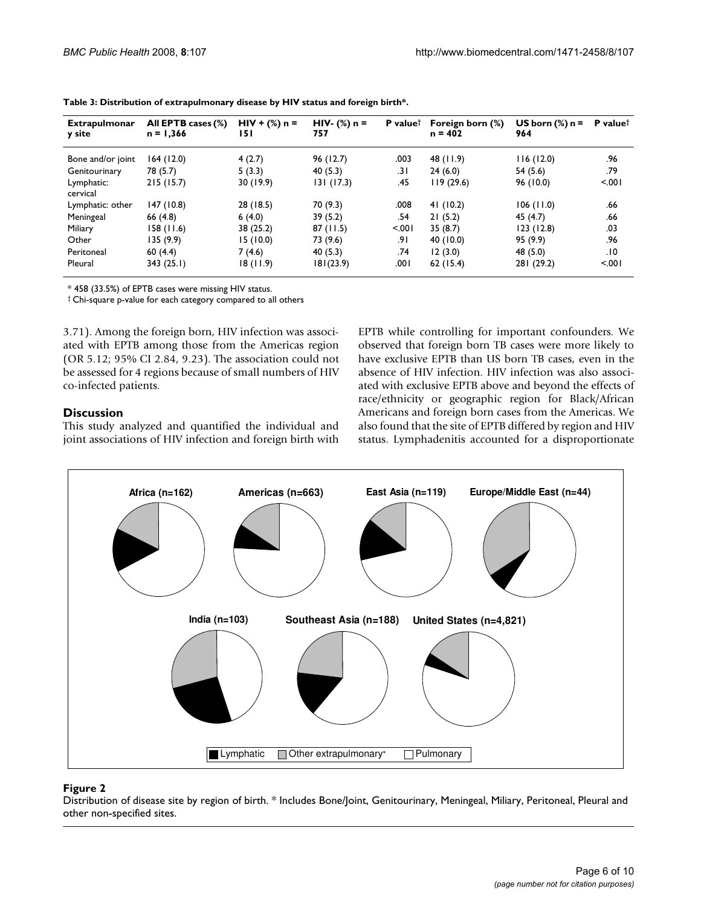| <b>Extrapulmonar</b><br>y site | All EPTB cases (%)<br>$n = 1,366$ | $HIV + (\%) n =$<br>151 | $HIV-$ (%) n =<br>757 | <b>P</b> value <sup><math>\dagger</math></sup> | Foreign born (%)<br>$n = 402$ | US born $(\%)$ n =<br>964 | <b>P</b> value <sup>†</sup> |
|--------------------------------|-----------------------------------|-------------------------|-----------------------|------------------------------------------------|-------------------------------|---------------------------|-----------------------------|
| Bone and/or joint              | 164(12.0)                         | 4(2.7)                  | 96(12.7)              | .003                                           | 48 (11.9)                     | 116(12.0)                 | .96                         |
| Genitourinary                  | 78 (5.7)                          | 5(3.3)                  | 40(5.3)               | .31                                            | 24(6.0)                       | 54(5.6)                   | .79                         |
| Lymphatic:<br>cervical         | 215(15.7)                         | 30(19.9)                | 131(17.3)             | .45                                            | 119(29.6)                     | 96 (10.0)                 | < 0.01                      |
| Lymphatic: other               | 147 (10.8)                        | 28 (18.5)               | 70 (9.3)              | .008                                           | 41(10.2)                      | 106(11.0)                 | .66                         |
| Meningeal                      | 66(4.8)                           | 6(4.0)                  | 39(5.2)               | .54                                            | 21(5.2)                       | 45(4.7)                   | .66                         |
| Miliary                        | 158 (11.6)                        | 38 (25.2)               | 87(11.5)              | < 0.01                                         | 35(8.7)                       | 123(12.8)                 | .03                         |
| Other                          | 135 (9.9)                         | 15 (10.0)               | 73 (9.6)              | .9۱                                            | 40(10.0)                      | 95 (9.9)                  | .96                         |
| Peritoneal                     | 60(4.4)                           | 7(4.6)                  | 40(5.3)               | .74                                            | 12(3.0)                       | 48 (5.0)                  | .10                         |
| Pleural                        | 343(25.1)                         | 18 (11.9)               | 181(23.9)             | .001                                           | 62(15.4)                      | 281 (29.2)                | < 0.01                      |

|  |  | Table 3: Distribution of extrapulmonary disease by HIV status and foreign birth*. |
|--|--|-----------------------------------------------------------------------------------|
|  |  |                                                                                   |

\* 458 (33.5%) of EPTB cases were missing HIV status.

† Chi-square p-value for each category compared to all others

3.71). Among the foreign born, HIV infection was associated with EPTB among those from the Americas region (OR 5.12; 95% CI 2.84, 9.23). The association could not be assessed for 4 regions because of small numbers of HIV co-infected patients.

#### **Discussion**

This study analyzed and quantified the individual and joint associations of HIV infection and foreign birth with EPTB while controlling for important confounders. We observed that foreign born TB cases were more likely to have exclusive EPTB than US born TB cases, even in the absence of HIV infection. HIV infection was also associated with exclusive EPTB above and beyond the effects of race/ethnicity or geographic region for Black/African Americans and foreign born cases from the Americas. We also found that the site of EPTB differed by region and HIV status. Lymphadenitis accounted for a disproportionate



#### Figure 2

Distribution of disease site by region of birth. \* Includes Bone/Joint, Genitourinary, Meningeal, Miliary, Peritoneal, Pleural and other non-specified sites.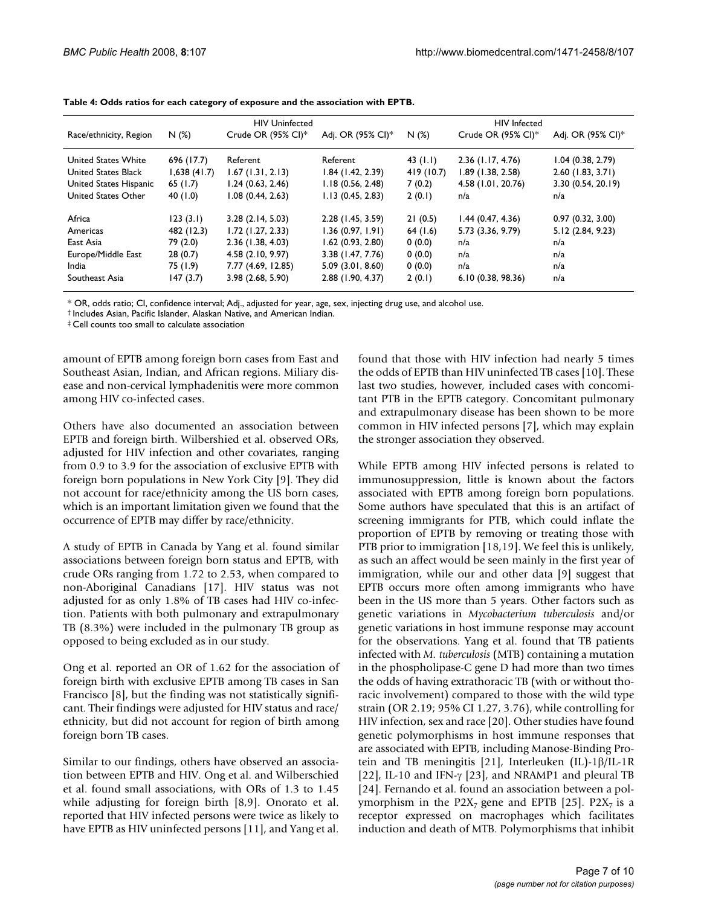|                            | <b>HIV Uninfected</b> |                     |                     | <b>HIV</b> Infected |                     |                     |
|----------------------------|-----------------------|---------------------|---------------------|---------------------|---------------------|---------------------|
| Race/ethnicity, Region     | N(%)                  | Crude OR (95% CI)*  | Adj. OR (95% CI)*   | N(%)                | Crude OR (95% CI)*  | Adj. OR (95% CI)*   |
| United States White        | 696 (17.7)            | Referent            | Referent            | 43 $(1.1)$          | $2.36$ (1.17, 4.76) | 1.04(0.38, 2.79)    |
| <b>United States Black</b> | 1,638(41.7)           | $1.67$ (1.31, 2.13) | $1.84$ (1.42, 2.39) | 419 (10.7)          | 1.89(1.38, 2.58)    | $2.60$ (1.83, 3.71) |
| United States Hispanic     | 65(1.7)               | 1.24(0.63, 2.46)    | 1.18(0.56, 2.48)    | 7(0.2)              | 4.58 (1.01, 20.76)  | 3.30 (0.54, 20.19)  |
| United States Other        | 40 (1.0)              | 1.08 (0.44, 2.63)   | 1.13(0.45, 2.83)    | 2(0.1)              | n/a                 | n/a                 |
| Africa                     | 123(3.1)              | 3.28(2.14, 5.03)    | 2.28 (1.45, 3.59)   | 21(0.5)             | 1.44(0.47, 4.36)    | 0.97(0.32, 3.00)    |
| Americas                   | 482 (12.3)            | 1.72(1.27, 2.33)    | 1.36(0.97, 1.91)    | 64(1.6)             | 5.73 (3.36, 9.79)   | 5.12 (2.84, 9.23)   |
| East Asia                  | 79 (2.0)              | $2.36$ (1.38, 4.03) | 1.62(0.93, 2.80)    | 0(0.0)              | n/a                 | n/a                 |
| Europe/Middle East         | 28(0.7)               | 4.58(2.10, 9.97)    | 3.38 (1.47, 7.76)   | 0(0.0)              | n/a                 | n/a                 |
| India                      | 75 (1.9)              | 7.77 (4.69, 12.85)  | 5.09(3.01, 8.60)    | 0(0.0)              | n/a                 | n/a                 |
| Southeast Asia             | 147(3.7)              | 3.98(2.68, 5.90)    | 2.88 (1.90, 4.37)   | 2(0.1)              | 6.10(0.38, 98.36)   | n/a                 |

**Table 4: Odds ratios for each category of exposure and the association with EPTB.**

\* OR, odds ratio; CI, confidence interval; Adj., adjusted for year, age, sex, injecting drug use, and alcohol use.

† Includes Asian, Pacific Islander, Alaskan Native, and American Indian.

‡ Cell counts too small to calculate association

amount of EPTB among foreign born cases from East and Southeast Asian, Indian, and African regions. Miliary disease and non-cervical lymphadenitis were more common among HIV co-infected cases.

Others have also documented an association between EPTB and foreign birth. Wilbershied et al. observed ORs, adjusted for HIV infection and other covariates, ranging from 0.9 to 3.9 for the association of exclusive EPTB with foreign born populations in New York City [9]. They did not account for race/ethnicity among the US born cases, which is an important limitation given we found that the occurrence of EPTB may differ by race/ethnicity.

A study of EPTB in Canada by Yang et al. found similar associations between foreign born status and EPTB, with crude ORs ranging from 1.72 to 2.53, when compared to non-Aboriginal Canadians [17]. HIV status was not adjusted for as only 1.8% of TB cases had HIV co-infection. Patients with both pulmonary and extrapulmonary TB (8.3%) were included in the pulmonary TB group as opposed to being excluded as in our study.

Ong et al. reported an OR of 1.62 for the association of foreign birth with exclusive EPTB among TB cases in San Francisco [8], but the finding was not statistically significant. Their findings were adjusted for HIV status and race/ ethnicity, but did not account for region of birth among foreign born TB cases.

Similar to our findings, others have observed an association between EPTB and HIV. Ong et al. and Wilberschied et al. found small associations, with ORs of 1.3 to 1.45 while adjusting for foreign birth [8,9]. Onorato et al. reported that HIV infected persons were twice as likely to have EPTB as HIV uninfected persons [11], and Yang et al. found that those with HIV infection had nearly 5 times the odds of EPTB than HIV uninfected TB cases [10]. These last two studies, however, included cases with concomitant PTB in the EPTB category. Concomitant pulmonary and extrapulmonary disease has been shown to be more common in HIV infected persons [7], which may explain the stronger association they observed.

While EPTB among HIV infected persons is related to immunosuppression, little is known about the factors associated with EPTB among foreign born populations. Some authors have speculated that this is an artifact of screening immigrants for PTB, which could inflate the proportion of EPTB by removing or treating those with PTB prior to immigration [18,19]. We feel this is unlikely, as such an affect would be seen mainly in the first year of immigration, while our and other data [9] suggest that EPTB occurs more often among immigrants who have been in the US more than 5 years. Other factors such as genetic variations in *Mycobacterium tuberculosis* and/or genetic variations in host immune response may account for the observations. Yang et al. found that TB patients infected with *M. tuberculosis* (MTB) containing a mutation in the phospholipase-C gene D had more than two times the odds of having extrathoracic TB (with or without thoracic involvement) compared to those with the wild type strain (OR 2.19; 95% CI 1.27, 3.76), while controlling for HIV infection, sex and race [20]. Other studies have found genetic polymorphisms in host immune responses that are associated with EPTB, including Manose-Binding Protein and TB meningitis [21], Interleuken (IL)-1β/IL-1R [22], IL-10 and IFN- $\gamma$  [23], and NRAMP1 and pleural TB [24]. Fernando et al. found an association between a polymorphism in the P2X<sub>7</sub> gene and EPTB [25]. P2X<sub>7</sub> is a receptor expressed on macrophages which facilitates induction and death of MTB. Polymorphisms that inhibit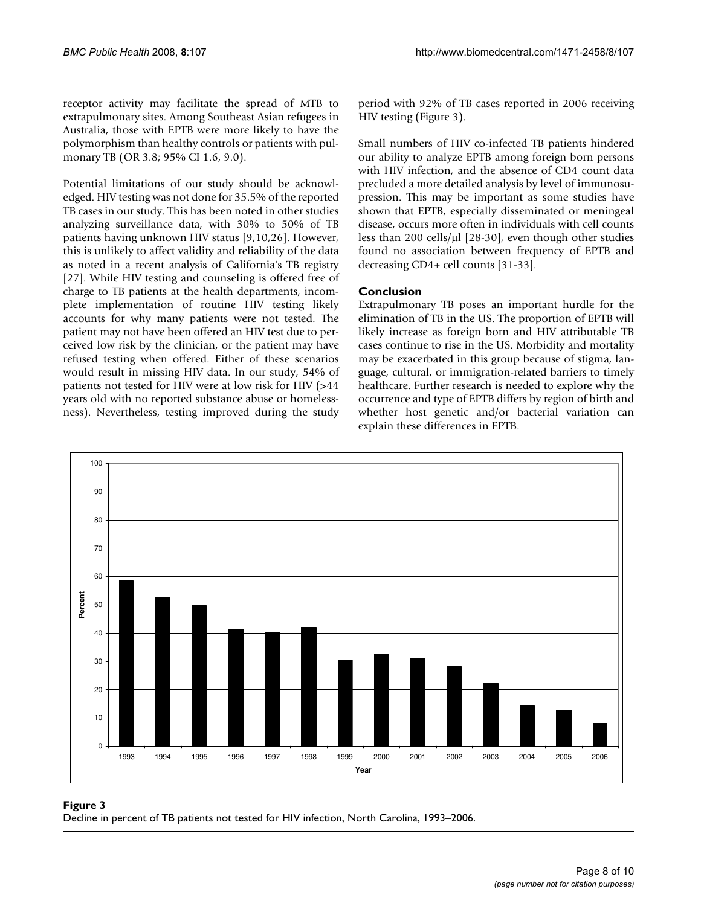receptor activity may facilitate the spread of MTB to extrapulmonary sites. Among Southeast Asian refugees in Australia, those with EPTB were more likely to have the polymorphism than healthy controls or patients with pulmonary TB (OR 3.8; 95% CI 1.6, 9.0).

Potential limitations of our study should be acknowledged. HIV testing was not done for 35.5% of the reported TB cases in our study. This has been noted in other studies analyzing surveillance data, with 30% to 50% of TB patients having unknown HIV status [9,10,26]. However, this is unlikely to affect validity and reliability of the data as noted in a recent analysis of California's TB registry [27]. While HIV testing and counseling is offered free of charge to TB patients at the health departments, incomplete implementation of routine HIV testing likely accounts for why many patients were not tested. The patient may not have been offered an HIV test due to perceived low risk by the clinician, or the patient may have refused testing when offered. Either of these scenarios would result in missing HIV data. In our study, 54% of patients not tested for HIV were at low risk for HIV (>44 years old with no reported substance abuse or homelessness). Nevertheless, testing improved during the study period with 92% of TB cases reported in 2006 receiving HIV testing (Figure 3).

Small numbers of HIV co-infected TB patients hindered our ability to analyze EPTB among foreign born persons with HIV infection, and the absence of CD4 count data precluded a more detailed analysis by level of immunosupression. This may be important as some studies have shown that EPTB, especially disseminated or meningeal disease, occurs more often in individuals with cell counts less than 200 cells/μl [28-30], even though other studies found no association between frequency of EPTB and decreasing CD4+ cell counts [31-33].

#### **Conclusion**

Extrapulmonary TB poses an important hurdle for the elimination of TB in the US. The proportion of EPTB will likely increase as foreign born and HIV attributable TB cases continue to rise in the US. Morbidity and mortality may be exacerbated in this group because of stigma, language, cultural, or immigration-related barriers to timely healthcare. Further research is needed to explore why the occurrence and type of EPTB differs by region of birth and whether host genetic and/or bacterial variation can explain these differences in EPTB.



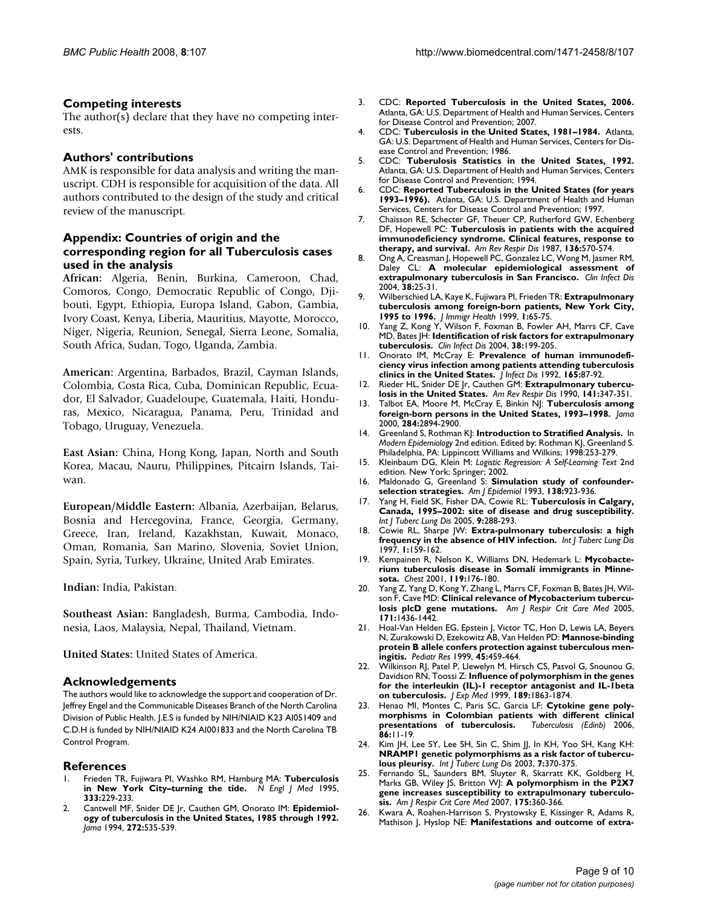#### **Competing interests**

The author(s) declare that they have no competing interests.

#### **Authors' contributions**

AMK is responsible for data analysis and writing the manuscript. CDH is responsible for acquisition of the data. All authors contributed to the design of the study and critical review of the manuscript.

#### **Appendix: Countries of origin and the corresponding region for all Tuberculosis cases used in the analysis**

**African:** Algeria, Benin, Burkina, Cameroon, Chad, Comoros, Congo, Democratic Republic of Congo, Djibouti, Egypt, Ethiopia, Europa Island, Gabon, Gambia, Ivory Coast, Kenya, Liberia, Mauritius, Mayotte, Morocco, Niger, Nigeria, Reunion, Senegal, Sierra Leone, Somalia, South Africa, Sudan, Togo, Uganda, Zambia.

**American:** Argentina, Barbados, Brazil, Cayman Islands, Colombia, Costa Rica, Cuba, Dominican Republic, Ecuador, El Salvador, Guadeloupe, Guatemala, Haiti, Honduras, Mexico, Nicaragua, Panama, Peru, Trinidad and Tobago, Uruguay, Venezuela.

**East Asian:** China, Hong Kong, Japan, North and South Korea, Macau, Nauru, Philippines, Pitcairn Islands, Taiwan.

**European/Middle Eastern:** Albania, Azerbaijan, Belarus, Bosnia and Hercegovina, France, Georgia, Germany, Greece, Iran, Ireland, Kazakhstan, Kuwait, Monaco, Oman, Romania, San Marino, Slovenia, Soviet Union, Spain, Syria, Turkey, Ukraine, United Arab Emirates.

**Indian:** India, Pakistan.

**Southeast Asian:** Bangladesh, Burma, Cambodia, Indonesia, Laos, Malaysia, Nepal, Thailand, Vietnam.

**United States:** United States of America.

#### **Acknowledgements**

The authors would like to acknowledge the support and cooperation of Dr. Jeffrey Engel and the Communicable Diseases Branch of the North Carolina Division of Public Health. J.E.S is funded by NIH/NIAID K23 AI051409 and C.D.H is funded by NIH/NIAID K24 AI001833 and the North Carolina TB Control Program.

#### **References**

- 1. Frieden TR, Fujiwara PI, Washko RM, Hamburg MA: **[Tuberculosis](http://www.ncbi.nlm.nih.gov/entrez/query.fcgi?cmd=Retrieve&db=PubMed&dopt=Abstract&list_uids=7791840) [in New York City–turning the tide.](http://www.ncbi.nlm.nih.gov/entrez/query.fcgi?cmd=Retrieve&db=PubMed&dopt=Abstract&list_uids=7791840)** *N Engl J Med* 1995, **333:**229-233.
- 2. Cantwell MF, Snider DE Jr, Cauthen GM, Onorato IM: **[Epidemiol](http://www.ncbi.nlm.nih.gov/entrez/query.fcgi?cmd=Retrieve&db=PubMed&dopt=Abstract&list_uids=8046808)[ogy of tuberculosis in the United States, 1985 through 1992.](http://www.ncbi.nlm.nih.gov/entrez/query.fcgi?cmd=Retrieve&db=PubMed&dopt=Abstract&list_uids=8046808)** *Jama* 1994, **272:**535-539.
- 3. CDC: **Reported Tuberculosis in the United States, 2006.** Atlanta, GA: U.S. Department of Health and Human Services, Centers for Disease Control and Prevention; 2007.
- 4. CDC: **Tuberculosis in the United States, 1981–1984.** Atlanta, GA: U.S. Department of Health and Human Services, Centers for Disease Control and Prevention; 1986.
- 5. CDC: **Tuberulosis Statistics in the United States, 1992.** Atlanta, GA: U.S. Department of Health and Human Services, Centers for Disease Control and Prevention; 1994.
- 6. CDC: **Reported Tuberculosis in the United States (for years 1993–1996).** Atlanta, GA: U.S. Department of Health and Human Services, Centers for Disease Control and Prevention; 1997.
- 7. Chaisson RE, Schecter GF, Theuer CP, Rutherford GW, Echenberg DF, Hopewell PC: **[Tuberculosis in patients with the acquired](http://www.ncbi.nlm.nih.gov/entrez/query.fcgi?cmd=Retrieve&db=PubMed&dopt=Abstract&list_uids=3631730) [immunodeficiency syndrome. Clinical features, response to](http://www.ncbi.nlm.nih.gov/entrez/query.fcgi?cmd=Retrieve&db=PubMed&dopt=Abstract&list_uids=3631730) [therapy, and survival.](http://www.ncbi.nlm.nih.gov/entrez/query.fcgi?cmd=Retrieve&db=PubMed&dopt=Abstract&list_uids=3631730)** *Am Rev Respir Dis* 1987, **136:**570-574.
- 8. Ong A, Creasman J, Hopewell PC, Gonzalez LC, Wong M, Jasmer RM, Daley CL: **[A molecular epidemiological assessment of](http://www.ncbi.nlm.nih.gov/entrez/query.fcgi?cmd=Retrieve&db=PubMed&dopt=Abstract&list_uids=14679444) [extrapulmonary tuberculosis in San Francisco.](http://www.ncbi.nlm.nih.gov/entrez/query.fcgi?cmd=Retrieve&db=PubMed&dopt=Abstract&list_uids=14679444)** *Clin Infect Dis* 2004, **38:**25-31.
- 9. Wilberschied LA, Kaye K, Fujiwara PI, Frieden TR: **[Extrapulmonary](http://www.ncbi.nlm.nih.gov/entrez/query.fcgi?cmd=Retrieve&db=PubMed&dopt=Abstract&list_uids=16228705) [tuberculosis among foreign-born patients, New York City,](http://www.ncbi.nlm.nih.gov/entrez/query.fcgi?cmd=Retrieve&db=PubMed&dopt=Abstract&list_uids=16228705) [1995 to 1996.](http://www.ncbi.nlm.nih.gov/entrez/query.fcgi?cmd=Retrieve&db=PubMed&dopt=Abstract&list_uids=16228705)** *J Immigr Health* 1999, **1:**65-75.
- 10. Yang Z, Kong Y, Wilson F, Foxman B, Fowler AH, Marrs CF, Cave MD, Bates JH: **[Identification of risk factors for extrapulmonary](http://www.ncbi.nlm.nih.gov/entrez/query.fcgi?cmd=Retrieve&db=PubMed&dopt=Abstract&list_uids=14699451) [tuberculosis.](http://www.ncbi.nlm.nih.gov/entrez/query.fcgi?cmd=Retrieve&db=PubMed&dopt=Abstract&list_uids=14699451)** *Clin Infect Dis* 2004, **38:**199-205.
- 11. Onorato IM, McCray E: **[Prevalence of human immunodefi](http://www.ncbi.nlm.nih.gov/entrez/query.fcgi?cmd=Retrieve&db=PubMed&dopt=Abstract&list_uids=1727901)[ciency virus infection among patients attending tuberculosis](http://www.ncbi.nlm.nih.gov/entrez/query.fcgi?cmd=Retrieve&db=PubMed&dopt=Abstract&list_uids=1727901) [clinics in the United States.](http://www.ncbi.nlm.nih.gov/entrez/query.fcgi?cmd=Retrieve&db=PubMed&dopt=Abstract&list_uids=1727901)** *J Infect Dis* 1992, **165:**87-92.
- 12. Rieder HL, Snider DE Jr, Cauthen GM: **[Extrapulmonary tubercu](http://www.ncbi.nlm.nih.gov/entrez/query.fcgi?cmd=Retrieve&db=PubMed&dopt=Abstract&list_uids=2301852)[losis in the United States.](http://www.ncbi.nlm.nih.gov/entrez/query.fcgi?cmd=Retrieve&db=PubMed&dopt=Abstract&list_uids=2301852)** *Am Rev Respir Dis* 1990, **141:**347-351.
- 13. Talbot EA, Moore M, McCray E, Binkin NJ: **[Tuberculosis among](http://www.ncbi.nlm.nih.gov/entrez/query.fcgi?cmd=Retrieve&db=PubMed&dopt=Abstract&list_uids=11147986) [foreign-born persons in the United States, 1993–1998.](http://www.ncbi.nlm.nih.gov/entrez/query.fcgi?cmd=Retrieve&db=PubMed&dopt=Abstract&list_uids=11147986)** *Jama* 2000, **284:**2894-2900.
- 14. Greenland S, Rothman KJ: **Introduction to Stratified Analysis.** In *Modern Epidemiology* 2nd edition. Edited by: Rothman KJ, Greenland S. Philadelphia, PA: Lippincott Williams and Wilkins; 1998:253-279.
- 15. Kleinbaum DG, Klein M: *Logistic Regression: A Self-Learning Text* 2nd edition. New York: Springer; 2002.
- 16. Maldonado G, Greenland S: **[Simulation study of confounder](http://www.ncbi.nlm.nih.gov/entrez/query.fcgi?cmd=Retrieve&db=PubMed&dopt=Abstract&list_uids=8256780)[selection strategies.](http://www.ncbi.nlm.nih.gov/entrez/query.fcgi?cmd=Retrieve&db=PubMed&dopt=Abstract&list_uids=8256780)** *Am J Epidemiol* 1993, **138:**923-936.
- 17. Yang H, Field SK, Fisher DA, Cowie RL: **[Tuberculosis in Calgary,](http://www.ncbi.nlm.nih.gov/entrez/query.fcgi?cmd=Retrieve&db=PubMed&dopt=Abstract&list_uids=15786892) [Canada, 1995–2002: site of disease and drug susceptibility.](http://www.ncbi.nlm.nih.gov/entrez/query.fcgi?cmd=Retrieve&db=PubMed&dopt=Abstract&list_uids=15786892)** *Int J Tuberc Lung Dis* 2005, **9:**288-293.
- 18. Cowie RL, Sharpe JW: **[Extra-pulmonary tuberculosis: a high](http://www.ncbi.nlm.nih.gov/entrez/query.fcgi?cmd=Retrieve&db=PubMed&dopt=Abstract&list_uids=9441081) [frequency in the absence of HIV infection.](http://www.ncbi.nlm.nih.gov/entrez/query.fcgi?cmd=Retrieve&db=PubMed&dopt=Abstract&list_uids=9441081)** *Int J Tuberc Lung Dis* 1997, **1:**159-162.
- 19. Kempainen R, Nelson K, Williams DN, Hedemark L: **[Mycobacte](http://www.ncbi.nlm.nih.gov/entrez/query.fcgi?cmd=Retrieve&db=PubMed&dopt=Abstract&list_uids=11157601)[rium tuberculosis disease in Somali immigrants in Minne](http://www.ncbi.nlm.nih.gov/entrez/query.fcgi?cmd=Retrieve&db=PubMed&dopt=Abstract&list_uids=11157601)[sota.](http://www.ncbi.nlm.nih.gov/entrez/query.fcgi?cmd=Retrieve&db=PubMed&dopt=Abstract&list_uids=11157601)** *Chest* 2001, **119:**176-180.
- 20. Yang Z, Yang D, Kong Y, Zhang L, Marrs CF, Foxman B, Bates JH, Wilson F, Cave MD: **[Clinical relevance of Mycobacterium tubercu](http://www.ncbi.nlm.nih.gov/entrez/query.fcgi?cmd=Retrieve&db=PubMed&dopt=Abstract&list_uids=15805187)[losis plcD gene mutations.](http://www.ncbi.nlm.nih.gov/entrez/query.fcgi?cmd=Retrieve&db=PubMed&dopt=Abstract&list_uids=15805187)** *Am J Respir Crit Care Med* 2005, **171:**1436-1442.
- 21. Hoal-Van Helden EG, Epstein J, Victor TC, Hon D, Lewis LA, Beyers N, Zurakowski D, Ezekowitz AB, Van Helden PD: **[Mannose-binding](http://www.ncbi.nlm.nih.gov/entrez/query.fcgi?cmd=Retrieve&db=PubMed&dopt=Abstract&list_uids=10203135) [protein B allele confers protection against tuberculous men](http://www.ncbi.nlm.nih.gov/entrez/query.fcgi?cmd=Retrieve&db=PubMed&dopt=Abstract&list_uids=10203135)[ingitis.](http://www.ncbi.nlm.nih.gov/entrez/query.fcgi?cmd=Retrieve&db=PubMed&dopt=Abstract&list_uids=10203135)** *Pediatr Res* 1999, **45:**459-464.
- 22. Wilkinson RJ, Patel P, Llewelyn M, Hirsch CS, Pasvol G, Snounou G, Davidson RN, Toossi Z: **[Influence of polymorphism in the genes](http://www.ncbi.nlm.nih.gov/entrez/query.fcgi?cmd=Retrieve&db=PubMed&dopt=Abstract&list_uids=10377182) [for the interleukin \(IL\)-1 receptor antagonist and IL-1beta](http://www.ncbi.nlm.nih.gov/entrez/query.fcgi?cmd=Retrieve&db=PubMed&dopt=Abstract&list_uids=10377182) [on tuberculosis.](http://www.ncbi.nlm.nih.gov/entrez/query.fcgi?cmd=Retrieve&db=PubMed&dopt=Abstract&list_uids=10377182)** *J Exp Med* 1999, **189:**1863-1874.
- Henao MI, Montes C, Paris SC, Garcia LF: [Cytokine gene poly](http://www.ncbi.nlm.nih.gov/entrez/query.fcgi?cmd=Retrieve&db=PubMed&dopt=Abstract&list_uids=15925543)**[morphisms in Colombian patients with different clinical](http://www.ncbi.nlm.nih.gov/entrez/query.fcgi?cmd=Retrieve&db=PubMed&dopt=Abstract&list_uids=15925543)** [presentations of tuberculosis.](http://www.ncbi.nlm.nih.gov/entrez/query.fcgi?cmd=Retrieve&db=PubMed&dopt=Abstract&list_uids=15925543) **86:**11-19.
- 24. Kim JH, Lee SY, Lee SH, Sin C, Shim JJ, In KH, Yoo SH, Kang KH: **[NRAMP1 genetic polymorphisms as a risk factor of tubercu](http://www.ncbi.nlm.nih.gov/entrez/query.fcgi?cmd=Retrieve&db=PubMed&dopt=Abstract&list_uids=12729343)[lous pleurisy.](http://www.ncbi.nlm.nih.gov/entrez/query.fcgi?cmd=Retrieve&db=PubMed&dopt=Abstract&list_uids=12729343)** *Int J Tuberc Lung Dis* 2003, **7:**370-375.
- 25. Fernando SL, Saunders BM, Sluyter R, Skarratt KK, Goldberg H, Marks GB, Wiley JS, Britton WJ: **[A polymorphism in the P2X7](http://www.ncbi.nlm.nih.gov/entrez/query.fcgi?cmd=Retrieve&db=PubMed&dopt=Abstract&list_uids=17095747) [gene increases susceptibility to extrapulmonary tuberculo](http://www.ncbi.nlm.nih.gov/entrez/query.fcgi?cmd=Retrieve&db=PubMed&dopt=Abstract&list_uids=17095747)[sis.](http://www.ncbi.nlm.nih.gov/entrez/query.fcgi?cmd=Retrieve&db=PubMed&dopt=Abstract&list_uids=17095747)** *Am J Respir Crit Care Med* 2007, **175:**360-366.
- Kwara A, Roahen-Harrison S, Prystowsky E, Kissinger R, Adams R, Mathison J, Hyslop NE: **[Manifestations and outcome of extra](http://www.ncbi.nlm.nih.gov/entrez/query.fcgi?cmd=Retrieve&db=PubMed&dopt=Abstract&list_uids=15875918)-**